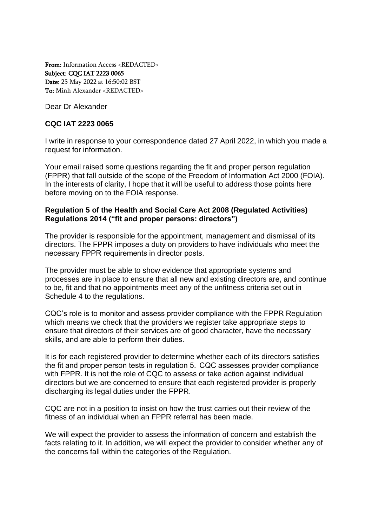From: Information Access <REDACTED> Subject: CQC IAT 2223 0065 Date: 25 May 2022 at 16:50:02 BST To: Minh Alexander <REDACTED>

Dear Dr Alexander

# **CQC IAT 2223 0065**

I write in response to your correspondence dated 27 April 2022, in which you made a request for information.

Your email raised some questions regarding the fit and proper person regulation (FPPR) that fall outside of the scope of the Freedom of Information Act 2000 (FOIA). In the interests of clarity, I hope that it will be useful to address those points here before moving on to the FOIA response.

## **Regulation 5 of the Health and Social Care Act 2008 (Regulated Activities) Regulations 2014 ("fit and proper persons: directors")**

The provider is responsible for the appointment, management and dismissal of its directors. The FPPR imposes a duty on providers to have individuals who meet the necessary FPPR requirements in director posts. 

The provider must be able to show evidence that appropriate systems and processes are in place to ensure that all new and existing directors are, and continue to be, fit and that no appointments meet any of the unfitness criteria set out in Schedule 4 to the regulations.

CQC's role is to monitor and assess provider compliance with the FPPR Regulation which means we check that the providers we register take appropriate steps to ensure that directors of their services are of good character, have the necessary skills, and are able to perform their duties. 

It is for each registered provider to determine whether each of its directors satisfies the fit and proper person tests in regulation 5.  CQC assesses provider compliance with FPPR. It is not the role of CQC to assess or take action against individual directors but we are concerned to ensure that each registered provider is properly discharging its legal duties under the FPPR.

CQC are not in a position to insist on how the trust carries out their review of the fitness of an individual when an FPPR referral has been made.

We will expect the provider to assess the information of concern and establish the facts relating to it. In addition, we will expect the provider to consider whether any of the concerns fall within the categories of the Regulation.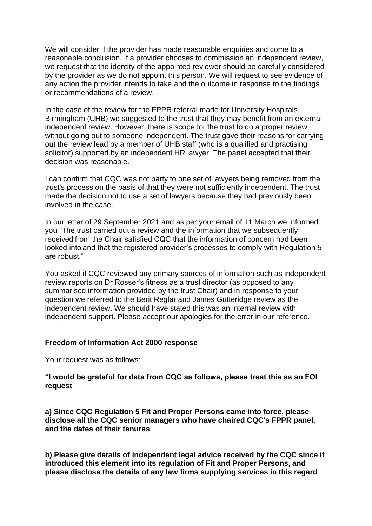We will consider if the provider has made reasonable enquiries and come to a reasonable conclusion. If a provider chooses to commission an independent review, we request that the identity of the appointed reviewer should be carefully considered by the provider as we do not appoint this person. We will request to see evidence of any action the provider intends to take and the outcome in response to the findings or recommendations of a review.

In the case of the review for the FPPR referral made for University Hospitals Birmingham (UHB) we suggested to the trust that they may benefit from an external independent review. However, there is scope for the trust to do a proper review without going out to someone independent. The trust gave their reasons for carrying out the review lead by a member of UHB staff (who is a qualified and practising solicitor) supported by an independent HR lawyer. The panel accepted that their decision was reasonable.

I can confirm that CQC was not party to one set of lawyers being removed from the trust's process on the basis of that they were not sufficiently independent. The trust made the decision not to use a set of lawyers because they had previously been involved in the case.

In our letter of 29 September 2021 and as per your email of 11 March we informed you "The trust carried out a review and the information that we subsequently received from the Chair satisfied CQC that the information of concern had been looked into and that the registered provider's processes to comply with Regulation 5 are robust."

You asked if CQC reviewed any primary sources of information such as independent review reports on Dr Rosser's fitness as a trust director (as opposed to any summarised information provided by the trust Chair) and in response to your question we referred to the Berit Reglar and James Gutteridge review as the independent review. We should have stated this was an internal review with independent support. Please accept our apologies for the error in our reference.

### **Freedom of Information Act 2000 response**

Your request was as follows:

## **"I would be grateful for data from CQC as follows, please treat this as an FOI request**

**a) Since CQC Regulation 5 Fit and Proper Persons came into force, please disclose all the CQC senior managers who have chaired CQC's FPPR panel, and the dates of their tenures**

**b) Please give details of independent legal advice received by the CQC since it introduced this element into its regulation of Fit and Proper Persons, and please disclose the details of any law firms supplying services in this regard**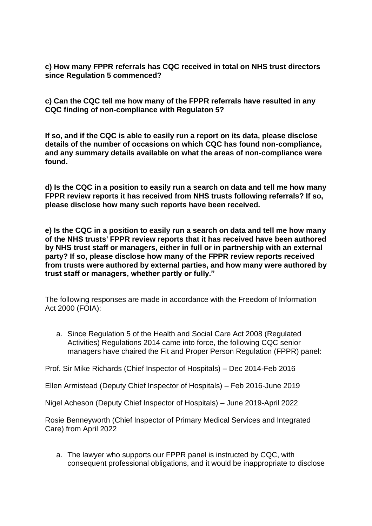**c) How many FPPR referrals has CQC received in total on NHS trust directors since Regulation 5 commenced?**

**c) Can the CQC tell me how many of the FPPR referrals have resulted in any CQC finding of non-compliance with Regulaton 5?**

**If so, and if the CQC is able to easily run a report on its data, please disclose details of the number of occasions on which CQC has found non-compliance, and any summary details available on what the areas of non-compliance were found.**

**d) Is the CQC in a position to easily run a search on data and tell me how many FPPR review reports it has received from NHS trusts following referrals? If so, please disclose how many such reports have been received.**

**e) Is the CQC in a position to easily run a search on data and tell me how many of the NHS trusts' FPPR review reports that it has received have been authored by NHS trust staff or managers, either in full or in partnership with an external party? If so, please disclose how many of the FPPR review reports received from trusts were authored by external parties, and how many were authored by trust staff or managers, whether partly or fully."**

The following responses are made in accordance with the Freedom of Information Act 2000 (FOIA):

a. Since Regulation 5 of the Health and Social Care Act 2008 (Regulated Activities) Regulations 2014 came into force, the following CQC senior managers have chaired the Fit and Proper Person Regulation (FPPR) panel:

Prof. Sir Mike Richards (Chief Inspector of Hospitals) – Dec 2014-Feb 2016

Ellen Armistead (Deputy Chief Inspector of Hospitals) – Feb 2016-June 2019

Nigel Acheson (Deputy Chief Inspector of Hospitals) – June 2019-April 2022

Rosie Benneyworth (Chief Inspector of Primary Medical Services and Integrated Care) from April 2022

a. The lawyer who supports our FPPR panel is instructed by CQC, with consequent professional obligations, and it would be inappropriate to disclose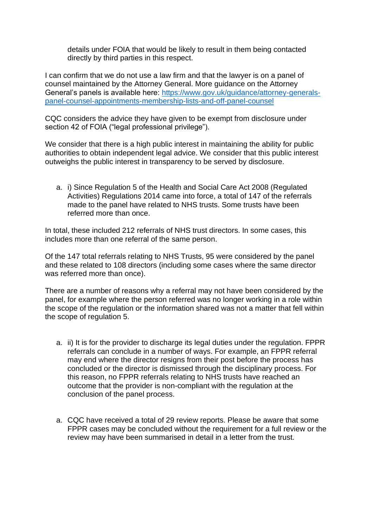details under FOIA that would be likely to result in them being contacted directly by third parties in this respect.

I can confirm that we do not use a law firm and that the lawyer is on a panel of counsel maintained by the Attorney General. More guidance on the Attorney General's panels is available here: [https://www.gov.uk/guidance/attorney-generals](https://www.gov.uk/guidance/attorney-generals-panel-counsel-appointments-membership-lists-and-off-panel-counsel)[panel-counsel-appointments-membership-lists-and-off-panel-counsel](https://www.gov.uk/guidance/attorney-generals-panel-counsel-appointments-membership-lists-and-off-panel-counsel)

CQC considers the advice they have given to be exempt from disclosure under section 42 of FOIA ("legal professional privilege").

We consider that there is a high public interest in maintaining the ability for public authorities to obtain independent legal advice. We consider that this public interest outweighs the public interest in transparency to be served by disclosure.

a. i) Since Regulation 5 of the Health and Social Care Act 2008 (Regulated Activities) Regulations 2014 came into force, a total of 147 of the referrals made to the panel have related to NHS trusts. Some trusts have been referred more than once.

In total, these included 212 referrals of NHS trust directors. In some cases, this includes more than one referral of the same person.

Of the 147 total referrals relating to NHS Trusts, 95 were considered by the panel and these related to 108 directors (including some cases where the same director was referred more than once).

There are a number of reasons why a referral may not have been considered by the panel, for example where the person referred was no longer working in a role within the scope of the regulation or the information shared was not a matter that fell within the scope of regulation 5.

- a. ii) It is for the provider to discharge its legal duties under the regulation. FPPR referrals can conclude in a number of ways. For example, an FPPR referral may end where the director resigns from their post before the process has concluded or the director is dismissed through the disciplinary process. For this reason, no FPPR referrals relating to NHS trusts have reached an outcome that the provider is non-compliant with the regulation at the conclusion of the panel process.
- a. CQC have received a total of 29 review reports. Please be aware that some FPPR cases may be concluded without the requirement for a full review or the review may have been summarised in detail in a letter from the trust.